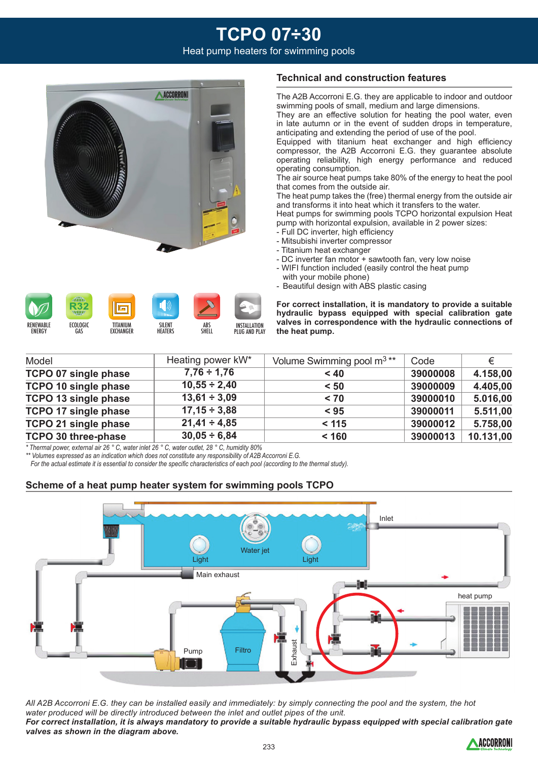## **TCPO 07÷30** Heat pump heaters for swimming pools



### **Technical and construction features**

The A2B Accorroni E.G. they are applicable to indoor and outdoor swimming pools of small, medium and large dimensions.

They are an effective solution for heating the pool water, even in late autumn or in the event of sudden drops in temperature, anticipating and extending the period of use of the pool.

Equipped with titanium heat exchanger and high efficiency compressor, the A2B Accorroni E.G. they guarantee absolute operating reliability, high energy performance and reduced operating consumption.

The air source heat pumps take 80% of the energy to heat the pool that comes from the outside air.

The heat pump takes the (free) thermal energy from the outside air and transforms it into heat which it transfers to the water.

Heat pumps for swimming pools TCPO horizontal expulsion Heat pump with horizontal expulsion, available in 2 power sizes:

**For correct installation, it is mandatory to provide a suitable hydraulic bypass equipped with special calibration gate valves in correspondence with the hydraulic connections of** 

- Full DC inverter, high efficiency
- Mitsubishi inverter compressor
- Titanium heat exchanger

**the heat pump.**

- DC inverter fan motor + sawtooth fan, very low noise - WIFI function included (easily control the heat pump
- with your mobile phone) - Beautiful design with ABS plastic casing

२3: RENEWABLE ECOLOGIC TITANIUM **SILENT** INSTALL ATION ABS **ENERGY GAS** EXCHANGER **HEATERS SHELL** PLUG AND PLAY

| Model                       | Heating power kW* | Volume Swimming pool m <sup>3**</sup> | Code     | €         |  |
|-----------------------------|-------------------|---------------------------------------|----------|-----------|--|
| <b>TCPO 07 single phase</b> | $7,76 \div 1,76$  | < 40                                  | 39000008 | 4.158,00  |  |
| <b>TCPO 10 single phase</b> | $10,55 \div 2,40$ | < 50                                  | 39000009 | 4.405,00  |  |
| TCPO 13 single phase        | $13,61 \div 3,09$ | < 70                                  | 39000010 | 5.016,00  |  |
| <b>TCPO 17 single phase</b> | $17,15 \div 3,88$ | < 95                                  | 39000011 | 5.511,00  |  |
| TCPO 21 single phase        | $21,41 \div 4,85$ | < 115                                 | 39000012 | 5.758,00  |  |
| <b>TCPO 30 three-phase</b>  | $30,05 \div 6,84$ | < 160                                 | 39000013 | 10.131,00 |  |

*\* Thermal power, external air 26 ° C, water inlet 26 ° C, water outlet, 28 ° C, humidity 80%*

*\*\* Volumes expressed as an indication which does not constitute any responsibility of A2B Accorroni E.G.*

 *For the actual estimate it is essential to consider the specific characteristics of each pool (according to the thermal study).*

### **Scheme of a heat pump heater system for swimming pools TCPO**



*All A2B Accorroni E.G. they can be installed easily and immediately: by simply connecting the pool and the system, the hot water produced will be directly introduced between the inlet and outlet pipes of the unit. For correct installation, it is always mandatory to provide a suitable hydraulic bypass equipped with special calibration gate valves as shown in the diagram above.*